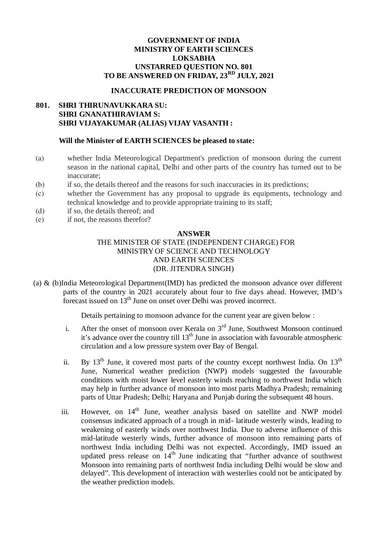### **GOVERNMENT OF INDIA MINISTRY OF EARTH SCIENCES LOKSABHA UNSTARRED QUESTION NO. 801 TO BE ANSWERED ON FRIDAY, 23RD JULY, 2021**

#### **INACCURATE PREDICTION OF MONSOON**

# **801. SHRI THIRUNAVUKKARA SU: SHRI GNANATHIRAVIAM S: SHRI VIJAYAKUMAR (ALIAS) VIJAY VASANTH :**

#### **Will the Minister of EARTH SCIENCES be pleased to state:**

- (a) whether India Meteorological Department's prediction of monsoon during the current season in the national capital, Delhi and other parts of the country has turned out to be inaccurate;
- (b) if so, the details thereof and the reasons for such inaccuracies in its predictions;
- (c) whether the Government has any proposal to upgrade its equipments, technology and technical knowledge and to provide appropriate training to its staff;
- (d) if so, the details thereof; and
- (e) if not, the reasons therefor?

#### **ANSWER**

# THE MINISTER OF STATE (INDEPENDENT CHARGE) FOR MINISTRY OF SCIENCE AND TECHNOLOGY AND EARTH SCIENCES (DR. JITENDRA SINGH)

(a) & (b)India Meteorological Department(IMD) has predicted the monsoon advance over different parts of the country in 2021 accurately about four to five days ahead. However, IMD's forecast issued on 13<sup>th</sup> June on onset over Delhi was proved incorrect.

Details pertaining to monsoon advance for the current year are given below :

- i. After the onset of monsoon over Kerala on  $3<sup>rd</sup>$  June, Southwest Monsoon continued it's advance over the country till  $13<sup>th</sup>$  June in association with favourable atmospheric circulation and a low pressure system over Bay of Bengal.
- ii. By  $13<sup>th</sup>$  June, it covered most parts of the country except northwest India. On  $13<sup>th</sup>$ June, Numerical weather prediction (NWP) models suggested the favourable conditions with moist lower level easterly winds reaching to northwest India which may help in further advance of monsoon into most parts Madhya Pradesh; remaining parts of Uttar Pradesh; Delhi; Haryana and Punjab during the subsequent 48 hours.
- iii. However, on  $14<sup>th</sup>$  June, weather analysis based on satellite and NWP model consensus indicated approach of a trough in mid- latitude westerly winds, leading to weakening of easterly winds over northwest India. Due to adverse influence of this mid-latitude westerly winds, further advance of monsoon into remaining parts of northwest India including Delhi was not expected. Accordingly, IMD issued an updated press release on  $14<sup>th</sup>$  June indicating that "further advance of southwest Monsoon into remaining parts of northwest India including Delhi would be slow and delayed". This development of interaction with westerlies could not be anticipated by the weather prediction models.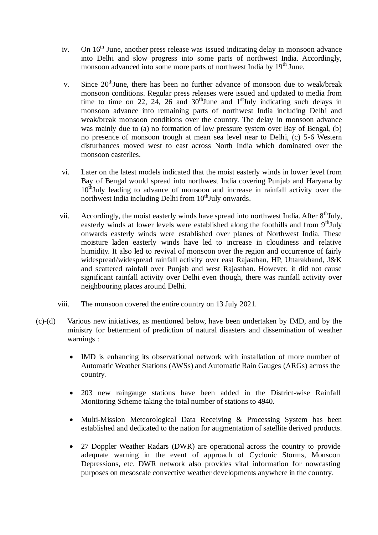- iv. On 16<sup>th</sup> June, another press release was issued indicating delay in monsoon advance into Delhi and slow progress into some parts of northwest India. Accordingly, monsoon advanced into some more parts of northwest India by 19<sup>th</sup> June.
- v. Since  $20<sup>th</sup>$  June, there has been no further advance of monsoon due to weak/break monsoon conditions. Regular press releases were issued and updated to media from time to time on 22, 24, 26 and  $30<sup>th</sup>$  June and  $1<sup>st</sup>$  July indicating such delays in monsoon advance into remaining parts of northwest India including Delhi and weak/break monsoon conditions over the country. The delay in monsoon advance was mainly due to (a) no formation of low pressure system over Bay of Bengal, (b) no presence of monsoon trough at mean sea level near to Delhi, (c) 5-6 Western disturbances moved west to east across North India which dominated over the monsoon easterlies.
- vi. Later on the latest models indicated that the moist easterly winds in lower level from Bay of Bengal would spread into northwest India covering Punjab and Haryana by 10<sup>th</sup>July leading to advance of monsoon and increase in rainfall activity over the northwest India including Delhi from  $10<sup>th</sup>$ July onwards.
- vii. Accordingly, the moist easterly winds have spread into northwest India. After 8<sup>th</sup>July, easterly winds at lower levels were established along the foothills and from  $9<sup>th</sup>July$ onwards easterly winds were established over planes of Northwest India. These moisture laden easterly winds have led to increase in cloudiness and relative humidity. It also led to revival of monsoon over the region and occurrence of fairly widespread/widespread rainfall activity over east Rajasthan, HP, Uttarakhand, J&K and scattered rainfall over Punjab and west Rajasthan. However, it did not cause significant rainfall activity over Delhi even though, there was rainfall activity over neighbouring places around Delhi.
- viii. The monsoon covered the entire country on 13 July 2021.
- (c)-(d) Various new initiatives, as mentioned below, have been undertaken by IMD, and by the ministry for betterment of prediction of natural disasters and dissemination of weather warnings :
	- IMD is enhancing its observational network with installation of more number of Automatic Weather Stations (AWSs) and Automatic Rain Gauges (ARGs) across the country.
	- 203 new raingauge stations have been added in the District-wise Rainfall Monitoring Scheme taking the total number of stations to 4940.
	- Multi-Mission Meteorological Data Receiving & Processing System has been established and dedicated to the nation for augmentation of satellite derived products.
	- 27 Doppler Weather Radars (DWR) are operational across the country to provide adequate warning in the event of approach of Cyclonic Storms, Monsoon Depressions, etc. DWR network also provides vital information for nowcasting purposes on mesoscale convective weather developments anywhere in the country.